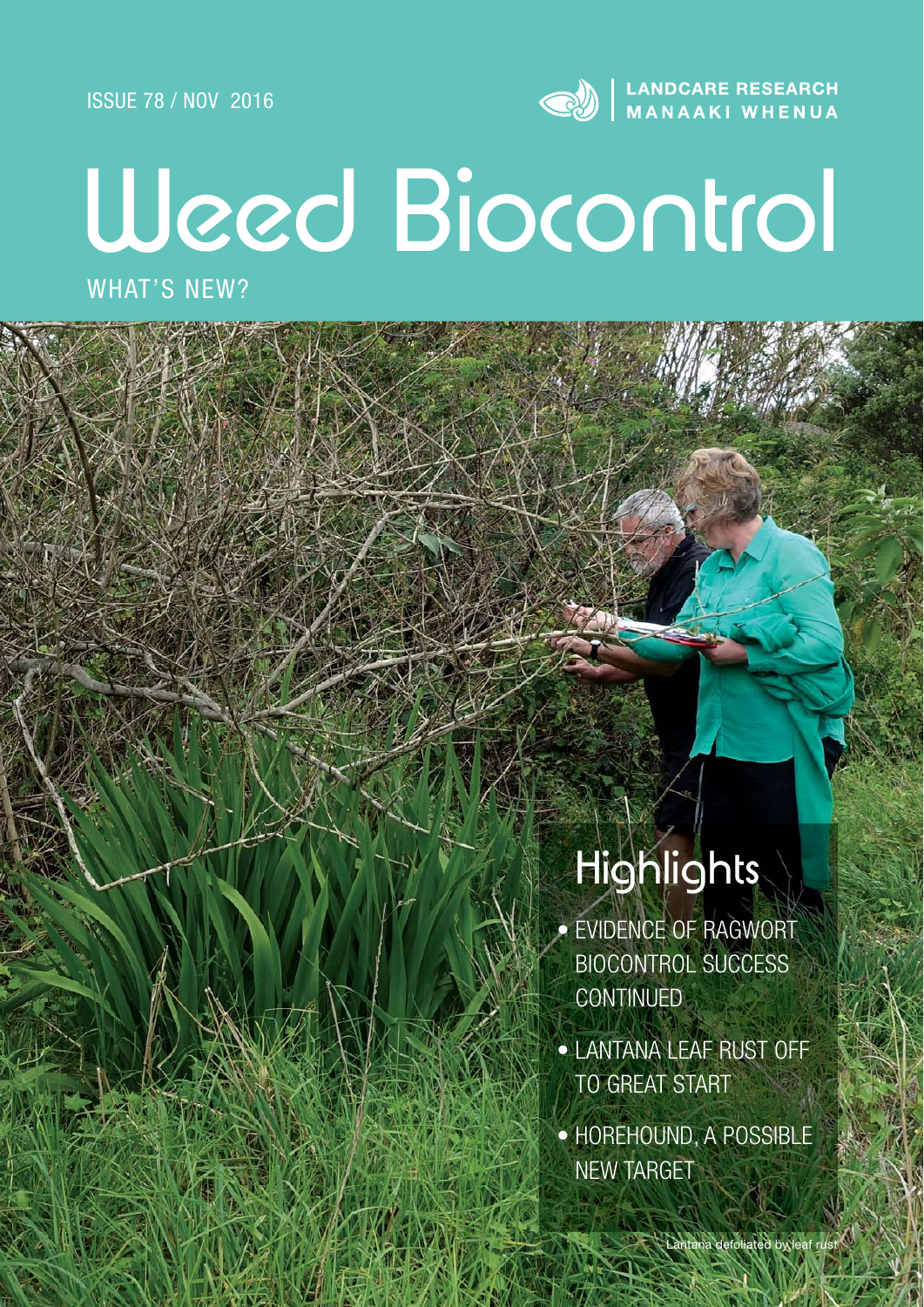ISSUE 78 / NOV 2016



# Weed Biocontrol

WHAT'S NEW?

# **Highlights**

- EVIDENCE OF RAGWORT BIOCONTROL SUCCESS **CONTINUED**
- LANTANA LEAF RUST OFF TO GREAT START
- HOREHOUND, A POSSIBLE NEW TARGET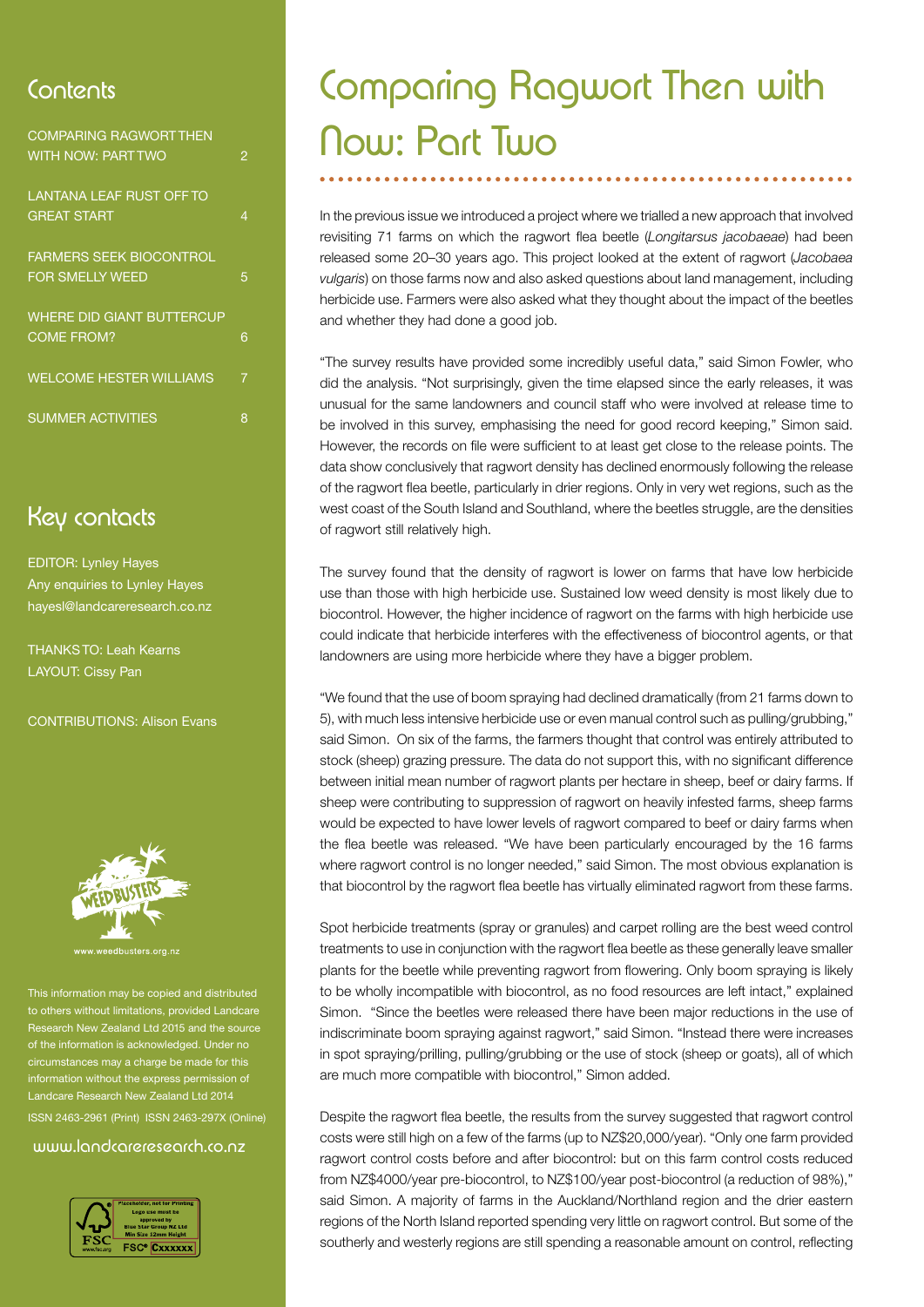#### Contents

| <b>COMPARING RAGWORT THEN</b><br><b>WITH NOW: PART TWO</b> | 2 |
|------------------------------------------------------------|---|
| LANTANA LEAF RUST OFF TO<br><b>GREAT START</b>             | Δ |
| <b>FARMERS SEEK BIOCONTROL</b><br><b>FOR SMELLY WEED</b>   | 5 |
| <b>WHERE DID GIANT BUTTERCUP</b><br><b>COME FROM?</b>      | 6 |
| <b>WELCOME HESTER WILLIAMS</b>                             | 7 |
| <b>SUMMER ACTIVITIES</b>                                   | 8 |

#### Key contacts

EDITOR: Lynley Hayes Any enquiries to Lynley Hayes hayesl@landcareresearch.co.nz

THANKS TO: Leah Kearns LAYOUT: Cissy Pan

CONTRIBUTIONS: Alison Evans



This information may be copied and distributed to others without limitations, provided Landcare rch New Zealand Ltd 2015 and the source iormation is acknowledged. Und ces may a charge be made for the mation without the express permiss<sup></sup> Landcare Research New Zealand Ltd 2014 ISSN 2463-2961 (Print) ISSN 2463-297X (Online)

#### www.landcareresearch.co.nz



# Comparing Ragwort Then with Now: Part Two

In the previous issue we introduced a project where we trialled a new approach that involved revisiting 71 farms on which the ragwort flea beetle (*Longitarsus jacobaeae*) had been released some 20–30 years ago. This project looked at the extent of ragwort (*Jacobaea vulgaris*) on those farms now and also asked questions about land management, including herbicide use. Farmers were also asked what they thought about the impact of the beetles and whether they had done a good job.

"The survey results have provided some incredibly useful data," said Simon Fowler, who did the analysis. "Not surprisingly, given the time elapsed since the early releases, it was unusual for the same landowners and council staff who were involved at release time to be involved in this survey, emphasising the need for good record keeping," Simon said. However, the records on file were sufficient to at least get close to the release points. The data show conclusively that ragwort density has declined enormously following the release of the ragwort flea beetle, particularly in drier regions. Only in very wet regions, such as the west coast of the South Island and Southland, where the beetles struggle, are the densities of ragwort still relatively high.

The survey found that the density of ragwort is lower on farms that have low herbicide use than those with high herbicide use. Sustained low weed density is most likely due to biocontrol. However, the higher incidence of ragwort on the farms with high herbicide use could indicate that herbicide interferes with the effectiveness of biocontrol agents, or that landowners are using more herbicide where they have a bigger problem.

"We found that the use of boom spraying had declined dramatically (from 21 farms down to 5), with much less intensive herbicide use or even manual control such as pulling/grubbing," said Simon. On six of the farms, the farmers thought that control was entirely attributed to stock (sheep) grazing pressure. The data do not support this, with no significant difference between initial mean number of ragwort plants per hectare in sheep, beef or dairy farms. If sheep were contributing to suppression of ragwort on heavily infested farms, sheep farms would be expected to have lower levels of ragwort compared to beef or dairy farms when the flea beetle was released. "We have been particularly encouraged by the 16 farms where ragwort control is no longer needed," said Simon. The most obvious explanation is that biocontrol by the ragwort flea beetle has virtually eliminated ragwort from these farms.

Spot herbicide treatments (spray or granules) and carpet rolling are the best weed control treatments to use in conjunction with the ragwort flea beetle as these generally leave smaller plants for the beetle while preventing ragwort from flowering. Only boom spraying is likely to be wholly incompatible with biocontrol, as no food resources are left intact," explained Simon. "Since the beetles were released there have been major reductions in the use of indiscriminate boom spraying against ragwort," said Simon. "Instead there were increases in spot spraying/prilling, pulling/grubbing or the use of stock (sheep or goats), all of which are much more compatible with biocontrol," Simon added.

Despite the ragwort flea beetle, the results from the survey suggested that ragwort control costs were still high on a few of the farms (up to NZ\$20,000/year). "Only one farm provided ragwort control costs before and after biocontrol: but on this farm control costs reduced from NZ\$4000/year pre-biocontrol, to NZ\$100/year post-biocontrol (a reduction of 98%)," said Simon. A majority of farms in the Auckland/Northland region and the drier eastern regions of the North Island reported spending very little on ragwort control. But some of the southerly and westerly regions are still spending a reasonable amount on control, reflecting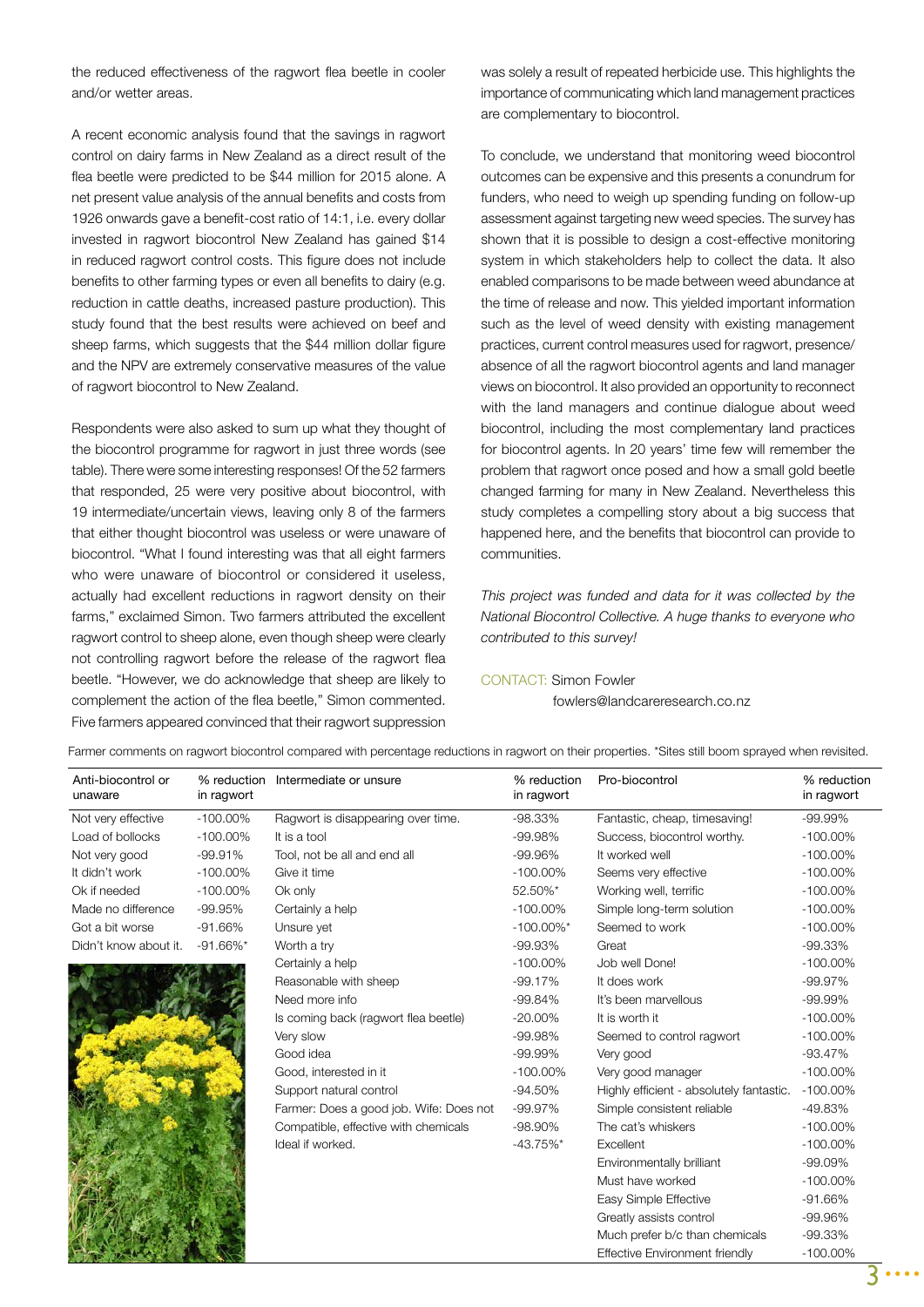the reduced effectiveness of the ragwort flea beetle in cooler and/or wetter areas.

A recent economic analysis found that the savings in ragwort control on dairy farms in New Zealand as a direct result of the flea beetle were predicted to be \$44 million for 2015 alone. A net present value analysis of the annual benefits and costs from 1926 onwards gave a benefit-cost ratio of 14:1, i.e. every dollar invested in ragwort biocontrol New Zealand has gained \$14 in reduced ragwort control costs. This figure does not include benefits to other farming types or even all benefits to dairy (e.g. reduction in cattle deaths, increased pasture production). This study found that the best results were achieved on beef and sheep farms, which suggests that the \$44 million dollar figure and the NPV are extremely conservative measures of the value of ragwort biocontrol to New Zealand.

Respondents were also asked to sum up what they thought of the biocontrol programme for ragwort in just three words (see table). There were some interesting responses! Of the 52 farmers that responded, 25 were very positive about biocontrol, with 19 intermediate/uncertain views, leaving only 8 of the farmers that either thought biocontrol was useless or were unaware of biocontrol. "What I found interesting was that all eight farmers who were unaware of biocontrol or considered it useless, actually had excellent reductions in ragwort density on their farms," exclaimed Simon. Two farmers attributed the excellent ragwort control to sheep alone, even though sheep were clearly not controlling ragwort before the release of the ragwort flea beetle. "However, we do acknowledge that sheep are likely to complement the action of the flea beetle," Simon commented. Five farmers appeared convinced that their ragwort suppression

was solely a result of repeated herbicide use. This highlights the importance of communicating which land management practices are complementary to biocontrol.

To conclude, we understand that monitoring weed biocontrol outcomes can be expensive and this presents a conundrum for funders, who need to weigh up spending funding on follow-up assessment against targeting new weed species. The survey has shown that it is possible to design a cost-effective monitoring system in which stakeholders help to collect the data. It also enabled comparisons to be made between weed abundance at the time of release and now. This yielded important information such as the level of weed density with existing management practices, current control measures used for ragwort, presence/ absence of all the ragwort biocontrol agents and land manager views on biocontrol. It also provided an opportunity to reconnect with the land managers and continue dialogue about weed biocontrol, including the most complementary land practices for biocontrol agents. In 20 years' time few will remember the problem that ragwort once posed and how a small gold beetle changed farming for many in New Zealand. Nevertheless this study completes a compelling story about a big success that happened here, and the benefits that biocontrol can provide to communities.

*This project was funded and data for it was collected by the National Biocontrol Collective. A huge thanks to everyone who contributed to this survey!*

CONTACT: Simon Fowler

fowlers@landcareresearch.co.nz

| Anti-biocontrol or<br>unaware | in ragwort   | % reduction Intermediate or unsure      | % reduction<br>in ragwort | Pro-biocontrol                           | % reduction<br>in ragwort |
|-------------------------------|--------------|-----------------------------------------|---------------------------|------------------------------------------|---------------------------|
| Not very effective            | $-100.00\%$  | Ragwort is disappearing over time.      | $-98.33\%$                | Fantastic, cheap, timesaving!            | $-99.99\%$                |
| Load of bollocks              | $-100.00\%$  | It is a tool                            | $-99.98%$                 | Success, biocontrol worthy.              | $-100.00\%$               |
| Not very good                 | $-99.91%$    | Tool, not be all and end all            | $-99.96\%$                | It worked well                           | $-100.00\%$               |
| It didn't work                | $-100.00\%$  | Give it time                            | $-100.00\%$               | Seems very effective                     | $-100.00\%$               |
| Ok if needed                  | $-100.00\%$  | Ok only                                 | 52.50%*                   | Working well, terrific                   | $-100.00\%$               |
| Made no difference            | $-99.95%$    | Certainly a help                        | $-100.00\%$               | Simple long-term solution                | $-100.00\%$               |
| Got a bit worse               | $-91.66%$    | Unsure yet                              | $-100.00\%$ *             | Seemed to work                           | $-100.00\%$               |
| Didn't know about it.         | $-91.66\%$ * | Worth a try                             | $-99.93\%$                | Great                                    | $-99.33\%$                |
|                               |              | Certainly a help                        | $-100.00\%$               | Job well Done!                           | $-100.00\%$               |
|                               |              | Reasonable with sheep                   | $-99.17%$                 | It does work                             | $-99.97%$                 |
|                               |              | Need more info                          | $-99.84%$                 | It's been marvellous                     | $-99.99\%$                |
|                               |              | Is coming back (ragwort flea beetle)    | $-20.00\%$                | It is worth it                           | $-100.00\%$               |
|                               |              | Very slow                               | $-99.98%$                 | Seemed to control ragwort                | $-100.00\%$               |
|                               |              | Good idea                               | $-99.99\%$                | Very good                                | $-93.47%$                 |
|                               |              | Good, interested in it                  | $-100.00\%$               | Very good manager                        | $-100.00\%$               |
|                               |              | Support natural control                 | $-94.50%$                 | Highly efficient - absolutely fantastic. | $-100.00\%$               |
|                               |              | Farmer: Does a good job. Wife: Does not | $-99.97%$                 | Simple consistent reliable               | $-49.83%$                 |
|                               |              | Compatible, effective with chemicals    | $-98.90\%$                | The cat's whiskers                       | $-100.00\%$               |
|                               |              | Ideal if worked.                        | $-43.75\%$ *              | Excellent                                | $-100.00\%$               |
|                               |              |                                         |                           | Environmentally brilliant                | $-99.09%$                 |
|                               |              |                                         |                           | Must have worked                         | $-100.00\%$               |
|                               |              |                                         |                           | Easy Simple Effective                    | $-91.66%$                 |
|                               |              |                                         |                           | Greatly assists control                  | $-99.96%$                 |
|                               |              |                                         |                           | Much prefer b/c than chemicals           | $-99.33\%$                |
|                               |              |                                         |                           | Effective Environment friendly           | $-100.00\%$               |

Farmer comments on ragwort biocontrol compared with percentage reductions in ragwort on their properties. \*Sites still boom sprayed when revisited.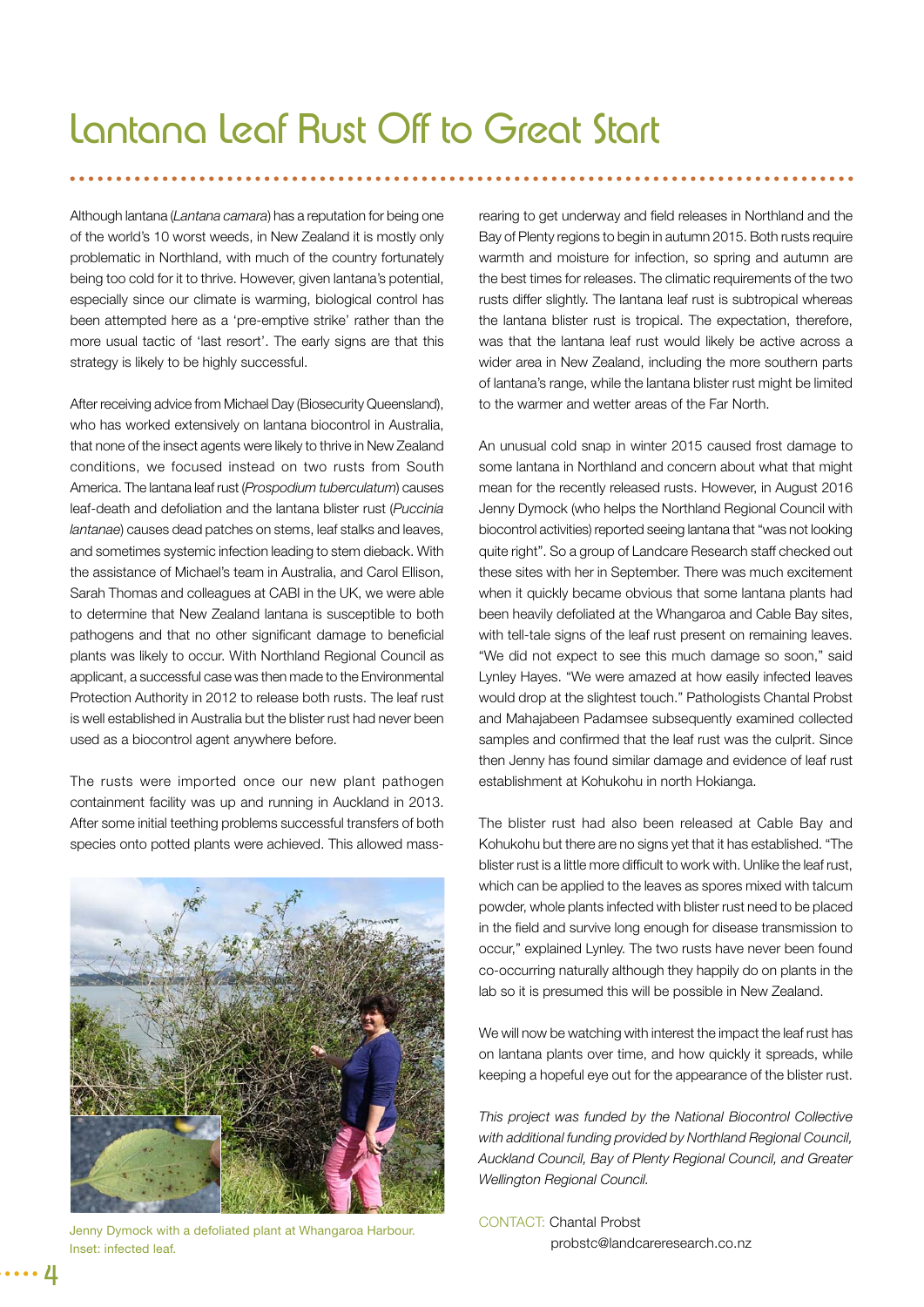Although lantana (*Lantana camara*) has a reputation for being one of the world's 10 worst weeds, in New Zealand it is mostly only problematic in Northland, with much of the country fortunately being too cold for it to thrive. However, given lantana's potential, especially since our climate is warming, biological control has been attempted here as a 'pre-emptive strike' rather than the more usual tactic of 'last resort'. The early signs are that this strategy is likely to be highly successful.

After receiving advice from Michael Day (Biosecurity Queensland), who has worked extensively on lantana biocontrol in Australia, that none of the insect agents were likely to thrive in New Zealand conditions, we focused instead on two rusts from South America. The lantana leaf rust (*Prospodium tuberculatum*) causes leaf-death and defoliation and the lantana blister rust (*Puccinia lantanae*) causes dead patches on stems, leaf stalks and leaves, and sometimes systemic infection leading to stem dieback. With the assistance of Michael's team in Australia, and Carol Ellison, Sarah Thomas and colleagues at CABI in the UK, we were able to determine that New Zealand lantana is susceptible to both pathogens and that no other significant damage to beneficial plants was likely to occur. With Northland Regional Council as applicant, a successful case was then made to the Environmental Protection Authority in 2012 to release both rusts. The leaf rust is well established in Australia but the blister rust had never been used as a biocontrol agent anywhere before.

The rusts were imported once our new plant pathogen containment facility was up and running in Auckland in 2013. After some initial teething problems successful transfers of both species onto potted plants were achieved. This allowed mass-



Jenny Dymock with a defoliated plant at Whangaroa Harbour. Inset: infected leaf.

rearing to get underway and field releases in Northland and the Bay of Plenty regions to begin in autumn 2015. Both rusts require warmth and moisture for infection, so spring and autumn are the best times for releases. The climatic requirements of the two rusts differ slightly. The lantana leaf rust is subtropical whereas the lantana blister rust is tropical. The expectation, therefore, was that the lantana leaf rust would likely be active across a wider area in New Zealand, including the more southern parts of lantana's range, while the lantana blister rust might be limited to the warmer and wetter areas of the Far North.

An unusual cold snap in winter 2015 caused frost damage to some lantana in Northland and concern about what that might mean for the recently released rusts. However, in August 2016 Jenny Dymock (who helps the Northland Regional Council with biocontrol activities) reported seeing lantana that "was not looking quite right". So a group of Landcare Research staff checked out these sites with her in September. There was much excitement when it quickly became obvious that some lantana plants had been heavily defoliated at the Whangaroa and Cable Bay sites, with tell-tale signs of the leaf rust present on remaining leaves. "We did not expect to see this much damage so soon," said Lynley Hayes. "We were amazed at how easily infected leaves would drop at the slightest touch." Pathologists Chantal Probst and Mahajabeen Padamsee subsequently examined collected samples and confirmed that the leaf rust was the culprit. Since then Jenny has found similar damage and evidence of leaf rust establishment at Kohukohu in north Hokianga.

The blister rust had also been released at Cable Bay and Kohukohu but there are no signs yet that it has established. "The blister rust is a little more difficult to work with. Unlike the leaf rust, which can be applied to the leaves as spores mixed with talcum powder, whole plants infected with blister rust need to be placed in the field and survive long enough for disease transmission to occur," explained Lynley. The two rusts have never been found co-occurring naturally although they happily do on plants in the lab so it is presumed this will be possible in New Zealand.

We will now be watching with interest the impact the leaf rust has on lantana plants over time, and how quickly it spreads, while keeping a hopeful eye out for the appearance of the blister rust.

*This project was funded by the National Biocontrol Collective with additional funding provided by Northland Regional Council, Auckland Council, Bay of Plenty Regional Council, and Greater Wellington Regional Council.*

CONTACT: Chantal Probst probstc@landcareresearch.co.nz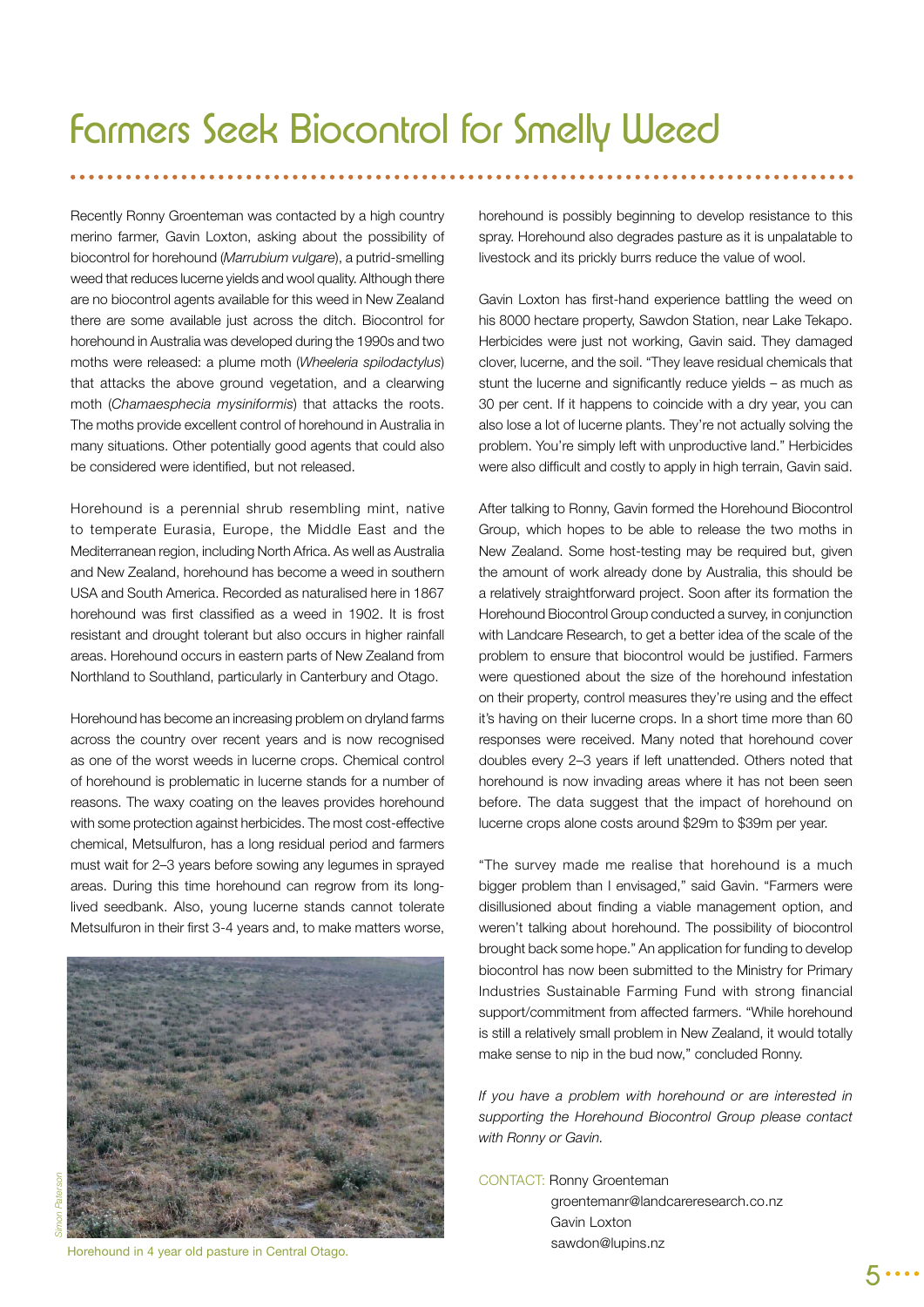### Farmers Seek Biocontrol for Smelly Weed

Recently Ronny Groenteman was contacted by a high country merino farmer, Gavin Loxton, asking about the possibility of biocontrol for horehound (*Marrubium vulgare*), a putrid-smelling weed that reduces lucerne yields and wool quality. Although there are no biocontrol agents available for this weed in New Zealand there are some available just across the ditch. Biocontrol for horehound in Australia was developed during the 1990s and two moths were released: a plume moth (*Wheeleria spilodactylus*) that attacks the above ground vegetation, and a clearwing moth (*Chamaesphecia mysiniformis*) that attacks the roots. The moths provide excellent control of horehound in Australia in many situations. Other potentially good agents that could also be considered were identified, but not released.

Horehound is a perennial shrub resembling mint, native to temperate Eurasia, Europe, the Middle East and the Mediterranean region, including North Africa. As well as Australia and New Zealand, horehound has become a weed in southern USA and South America. Recorded as naturalised here in 1867 horehound was first classified as a weed in 1902. It is frost resistant and drought tolerant but also occurs in higher rainfall areas. Horehound occurs in eastern parts of New Zealand from Northland to Southland, particularly in Canterbury and Otago.

Horehound has become an increasing problem on dryland farms across the country over recent years and is now recognised as one of the worst weeds in lucerne crops. Chemical control of horehound is problematic in lucerne stands for a number of reasons. The waxy coating on the leaves provides horehound with some protection against herbicides. The most cost-effective chemical, Metsulfuron, has a long residual period and farmers must wait for 2–3 years before sowing any legumes in sprayed areas. During this time horehound can regrow from its longlived seedbank. Also, young lucerne stands cannot tolerate Metsulfuron in their first 3-4 years and, to make matters worse,



Horehound in 4 year old pasture in Central Otago.

horehound is possibly beginning to develop resistance to this spray. Horehound also degrades pasture as it is unpalatable to livestock and its prickly burrs reduce the value of wool.

Gavin Loxton has first-hand experience battling the weed on his 8000 hectare property, Sawdon Station, near Lake Tekapo. Herbicides were just not working, Gavin said. They damaged clover, lucerne, and the soil. "They leave residual chemicals that stunt the lucerne and significantly reduce yields  $-$  as much as 30 per cent. If it happens to coincide with a dry year, you can also lose a lot of lucerne plants. They're not actually solving the problem. You're simply left with unproductive land." Herbicides were also difficult and costly to apply in high terrain, Gavin said.

After talking to Ronny, Gavin formed the Horehound Biocontrol Group, which hopes to be able to release the two moths in New Zealand. Some host-testing may be required but, given the amount of work already done by Australia, this should be a relatively straightforward project. Soon after its formation the Horehound Biocontrol Group conducted a survey, in conjunction with Landcare Research, to get a better idea of the scale of the problem to ensure that biocontrol would be justified. Farmers were questioned about the size of the horehound infestation on their property, control measures they're using and the effect it's having on their lucerne crops. In a short time more than 60 responses were received. Many noted that horehound cover doubles every 2–3 years if left unattended. Others noted that horehound is now invading areas where it has not been seen before. The data suggest that the impact of horehound on lucerne crops alone costs around \$29m to \$39m per year.

"The survey made me realise that horehound is a much bigger problem than I envisaged," said Gavin. "Farmers were disillusioned about finding a viable management option, and weren't talking about horehound. The possibility of biocontrol brought back some hope." An application for funding to develop biocontrol has now been submitted to the Ministry for Primary Industries Sustainable Farming Fund with strong financial support/commitment from affected farmers. "While horehound is still a relatively small problem in New Zealand, it would totally make sense to nip in the bud now," concluded Ronny.

*If you have a problem with horehound or are interested in supporting the Horehound Biocontrol Group please contact with Ronny or Gavin.*

CONTACT: Ronny Groenteman

 groentemanr@landcareresearch.co.nz Gavin Loxton sawdon@lupins.nz

*Simon Paterson*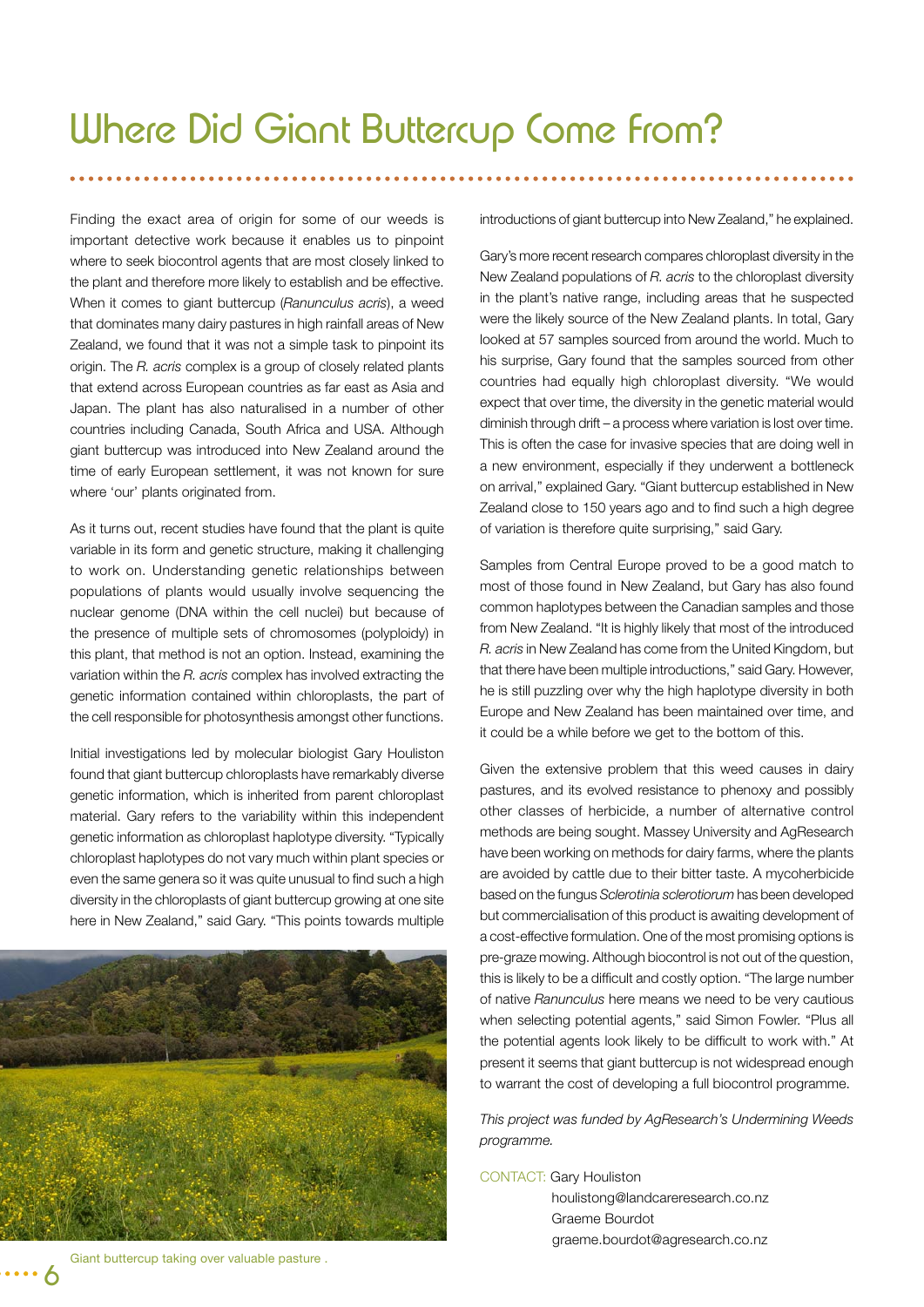Finding the exact area of origin for some of our weeds is important detective work because it enables us to pinpoint where to seek biocontrol agents that are most closely linked to the plant and therefore more likely to establish and be effective. When it comes to giant buttercup (*Ranunculus acris*), a weed that dominates many dairy pastures in high rainfall areas of New Zealand, we found that it was not a simple task to pinpoint its origin. The *R. acris* complex is a group of closely related plants that extend across European countries as far east as Asia and Japan. The plant has also naturalised in a number of other countries including Canada, South Africa and USA. Although giant buttercup was introduced into New Zealand around the time of early European settlement, it was not known for sure where 'our' plants originated from.

As it turns out, recent studies have found that the plant is quite variable in its form and genetic structure, making it challenging to work on. Understanding genetic relationships between populations of plants would usually involve sequencing the nuclear genome (DNA within the cell nuclei) but because of the presence of multiple sets of chromosomes (polyploidy) in this plant, that method is not an option. Instead, examining the variation within the *R. acris* complex has involved extracting the genetic information contained within chloroplasts, the part of the cell responsible for photosynthesis amongst other functions.

Initial investigations led by molecular biologist Gary Houliston found that giant buttercup chloroplasts have remarkably diverse genetic information, which is inherited from parent chloroplast material. Gary refers to the variability within this independent genetic information as chloroplast haplotype diversity. "Typically chloroplast haplotypes do not vary much within plant species or even the same genera so it was quite unusual to find such a high diversity in the chloroplasts of giant buttercup growing at one site here in New Zealand," said Gary. "This points towards multiple



introductions of giant buttercup into New Zealand," he explained.

Gary's more recent research compares chloroplast diversity in the New Zealand populations of *R. acris* to the chloroplast diversity in the plant's native range, including areas that he suspected were the likely source of the New Zealand plants. In total, Gary looked at 57 samples sourced from around the world. Much to his surprise, Gary found that the samples sourced from other countries had equally high chloroplast diversity. "We would expect that over time, the diversity in the genetic material would diminish through drift – a process where variation is lost over time. This is often the case for invasive species that are doing well in a new environment, especially if they underwent a bottleneck on arrival," explained Gary. "Giant buttercup established in New Zealand close to 150 years ago and to find such a high degree of variation is therefore quite surprising," said Gary.

Samples from Central Europe proved to be a good match to most of those found in New Zealand, but Gary has also found common haplotypes between the Canadian samples and those from New Zealand. "It is highly likely that most of the introduced *R. acris* in New Zealand has come from the United Kingdom, but that there have been multiple introductions," said Gary. However, he is still puzzling over why the high haplotype diversity in both Europe and New Zealand has been maintained over time, and it could be a while before we get to the bottom of this.

Given the extensive problem that this weed causes in dairy pastures, and its evolved resistance to phenoxy and possibly other classes of herbicide, a number of alternative control methods are being sought. Massey University and AgResearch have been working on methods for dairy farms, where the plants are avoided by cattle due to their bitter taste. A mycoherbicide based on the fungus *Sclerotinia sclerotiorum* has been developed but commercialisation of this product is awaiting development of a cost-effective formulation. One of the most promising options is pre-graze mowing. Although biocontrol is not out of the question, this is likely to be a difficult and costly option. "The large number of native *Ranunculus* here means we need to be very cautious when selecting potential agents," said Simon Fowler. "Plus all the potential agents look likely to be difficult to work with." At present it seems that giant buttercup is not widespread enough to warrant the cost of developing a full biocontrol programme.

*This project was funded by AgResearch's Undermining Weeds programme.*

CONTACT: Gary Houliston

 houlistong@landcareresearch.co.nz Graeme Bourdot graeme.bourdot@agresearch.co.nz

Giant buttercup taking over valuable pasture .

6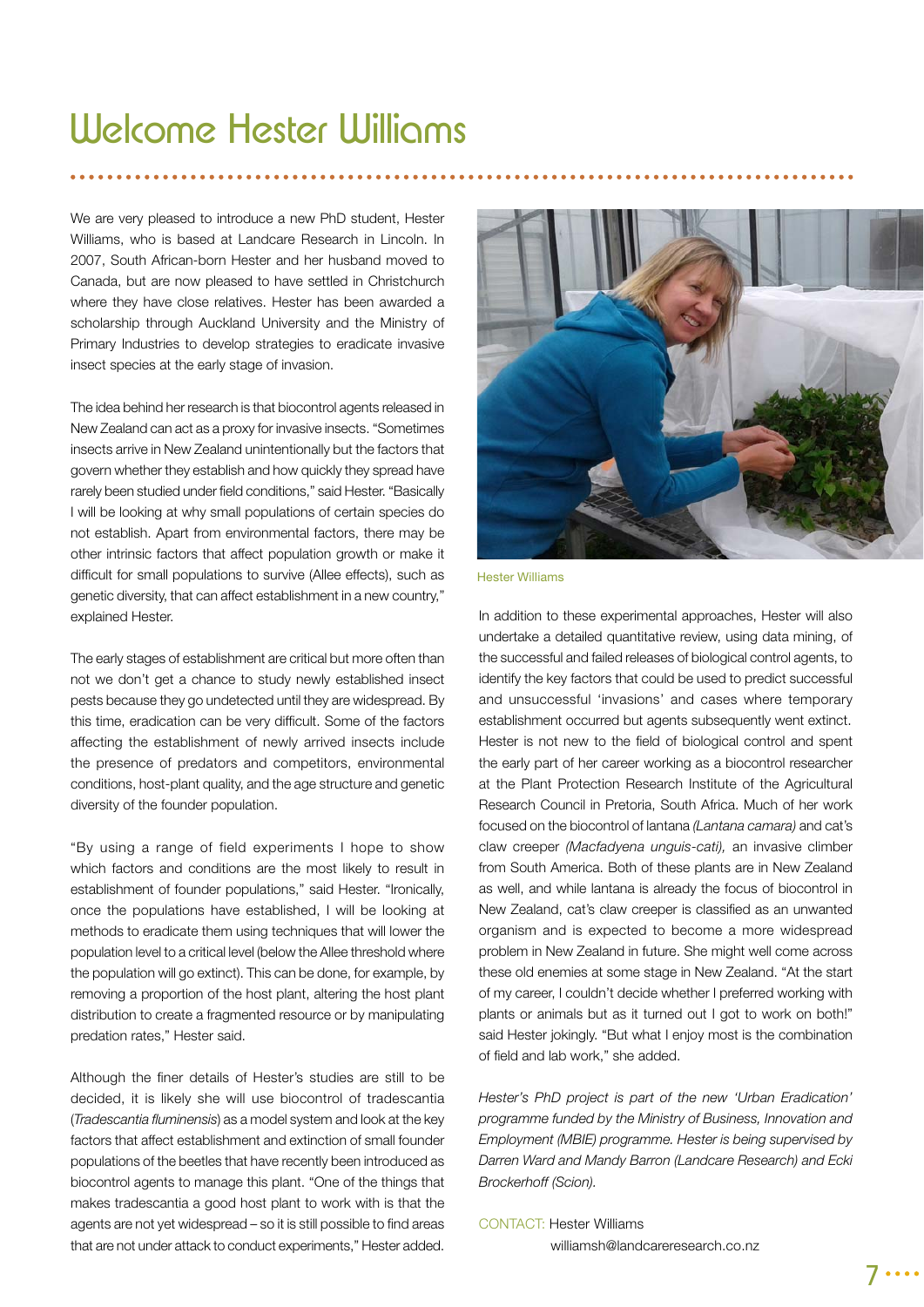### Welcome Hester Williams

We are very pleased to introduce a new PhD student, Hester Williams, who is based at Landcare Research in Lincoln. In 2007, South African-born Hester and her husband moved to Canada, but are now pleased to have settled in Christchurch where they have close relatives. Hester has been awarded a scholarship through Auckland University and the Ministry of Primary Industries to develop strategies to eradicate invasive insect species at the early stage of invasion.

The idea behind her research is that biocontrol agents released in New Zealand can act as a proxy for invasive insects. "Sometimes insects arrive in New Zealand unintentionally but the factors that govern whether they establish and how quickly they spread have rarely been studied under field conditions," said Hester. "Basically I will be looking at why small populations of certain species do not establish. Apart from environmental factors, there may be other intrinsic factors that affect population growth or make it difficult for small populations to survive (Allee effects), such as genetic diversity, that can affect establishment in a new country," explained Hester.

The early stages of establishment are critical but more often than not we don't get a chance to study newly established insect pests because they go undetected until they are widespread. By this time, eradication can be very difficult. Some of the factors affecting the establishment of newly arrived insects include the presence of predators and competitors, environmental conditions, host-plant quality, and the age structure and genetic diversity of the founder population.

"By using a range of field experiments I hope to show which factors and conditions are the most likely to result in establishment of founder populations," said Hester. "Ironically, once the populations have established, I will be looking at methods to eradicate them using techniques that will lower the population level to a critical level (below the Allee threshold where the population will go extinct). This can be done, for example, by removing a proportion of the host plant, altering the host plant distribution to create a fragmented resource or by manipulating predation rates," Hester said.

Although the finer details of Hester's studies are still to be decided, it is likely she will use biocontrol of tradescantia (*Tradescantia fluminensis*) as a model system and look at the key factors that affect establishment and extinction of small founder populations of the beetles that have recently been introduced as biocontrol agents to manage this plant. "One of the things that makes tradescantia a good host plant to work with is that the agents are not yet widespread – so it is still possible to find areas that are not under attack to conduct experiments," Hester added.



Hester Williams

In addition to these experimental approaches, Hester will also undertake a detailed quantitative review, using data mining, of the successful and failed releases of biological control agents, to identify the key factors that could be used to predict successful and unsuccessful 'invasions' and cases where temporary establishment occurred but agents subsequently went extinct. Hester is not new to the field of biological control and spent the early part of her career working as a biocontrol researcher at the Plant Protection Research Institute of the Agricultural Research Council in Pretoria, South Africa. Much of her work focused on the biocontrol of lantana *(Lantana camara)* and cat's claw creeper *(Macfadyena unguis-cati),* an invasive climber from South America. Both of these plants are in New Zealand as well, and while lantana is already the focus of biocontrol in New Zealand, cat's claw creeper is classified as an unwanted organism and is expected to become a more widespread problem in New Zealand in future. She might well come across these old enemies at some stage in New Zealand. "At the start of my career, I couldn't decide whether I preferred working with plants or animals but as it turned out I got to work on both!" said Hester jokingly. "But what I enjoy most is the combination of field and lab work," she added.

*Hester's PhD project is part of the new 'Urban Eradication' programme funded by the Ministry of Business, Innovation and Employment (MBIE) programme. Hester is being supervised by Darren Ward and Mandy Barron (Landcare Research) and Ecki Brockerhoff (Scion).* 

#### CONTACT: Hester Williams

williamsh@landcareresearch.co.nz